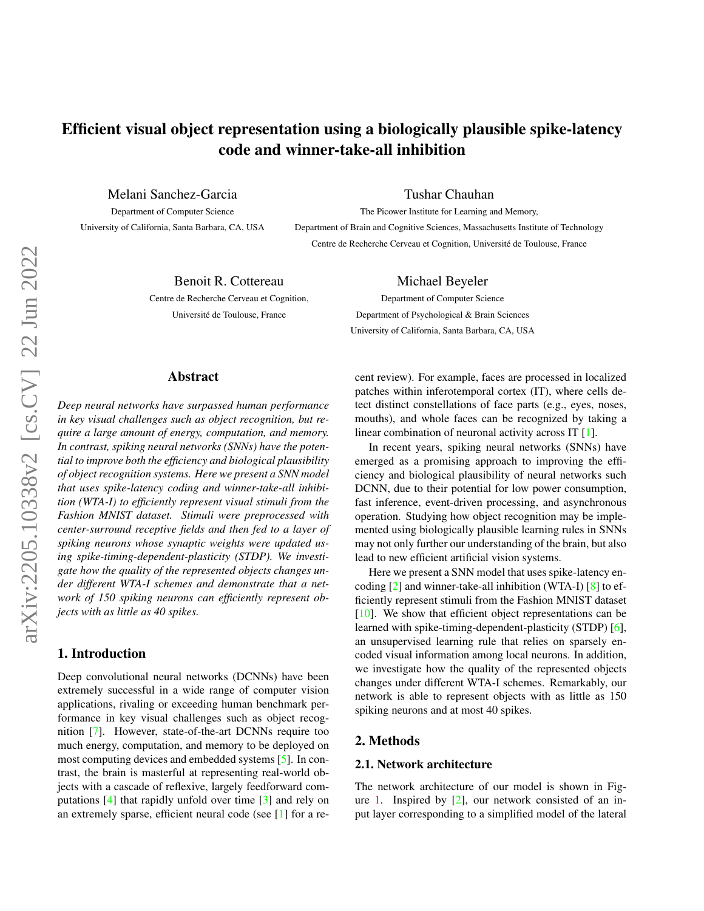# <span id="page-0-0"></span>Efficient visual object representation using a biologically plausible spike-latency code and winner-take-all inhibition

Melani Sanchez-Garcia

Department of Computer Science University of California, Santa Barbara, CA, USA Tushar Chauhan

Michael Beyeler Department of Computer Science Department of Psychological & Brain Sciences University of California, Santa Barbara, CA, USA

The Picower Institute for Learning and Memory, Department of Brain and Cognitive Sciences, Massachusetts Institute of Technology Centre de Recherche Cerveau et Cognition, Universite de Toulouse, France ´

Benoit R. Cottereau

Centre de Recherche Cerveau et Cognition, Universite de Toulouse, France ´

# Abstract

*Deep neural networks have surpassed human performance in key visual challenges such as object recognition, but require a large amount of energy, computation, and memory. In contrast, spiking neural networks (SNNs) have the potential to improve both the efficiency and biological plausibility of object recognition systems. Here we present a SNN model that uses spike-latency coding and winner-take-all inhibition (WTA-I) to efficiently represent visual stimuli from the Fashion MNIST dataset. Stimuli were preprocessed with center-surround receptive fields and then fed to a layer of spiking neurons whose synaptic weights were updated using spike-timing-dependent-plasticity (STDP). We investigate how the quality of the represented objects changes under different WTA-I schemes and demonstrate that a network of 150 spiking neurons can efficiently represent objects with as little as 40 spikes.*

# 1. Introduction

Deep convolutional neural networks (DCNNs) have been extremely successful in a wide range of computer vision applications, rivaling or exceeding human benchmark performance in key visual challenges such as object recognition [\[7\]](#page-3-0). However, state-of-the-art DCNNs require too much energy, computation, and memory to be deployed on most computing devices and embedded systems [\[5\]](#page-3-1). In contrast, the brain is masterful at representing real-world objects with a cascade of reflexive, largely feedforward computations [\[4\]](#page-3-2) that rapidly unfold over time [\[3\]](#page-3-3) and rely on an extremely sparse, efficient neural code (see [\[1\]](#page-3-4) for a recent review). For example, faces are processed in localized patches within inferotemporal cortex (IT), where cells detect distinct constellations of face parts (e.g., eyes, noses, mouths), and whole faces can be recognized by taking a linear combination of neuronal activity across IT [\[1\]](#page-3-4).

In recent years, spiking neural networks (SNNs) have emerged as a promising approach to improving the efficiency and biological plausibility of neural networks such DCNN, due to their potential for low power consumption, fast inference, event-driven processing, and asynchronous operation. Studying how object recognition may be implemented using biologically plausible learning rules in SNNs may not only further our understanding of the brain, but also lead to new efficient artificial vision systems.

Here we present a SNN model that uses spike-latency encoding [\[2\]](#page-3-5) and winner-take-all inhibition (WTA-I) [\[8\]](#page-3-6) to efficiently represent stimuli from the Fashion MNIST dataset [\[10\]](#page-3-7). We show that efficient object representations can be learned with spike-timing-dependent-plasticity (STDP) [\[6\]](#page-3-8), an unsupervised learning rule that relies on sparsely encoded visual information among local neurons. In addition, we investigate how the quality of the represented objects changes under different WTA-I schemes. Remarkably, our network is able to represent objects with as little as 150 spiking neurons and at most 40 spikes.

# 2. Methods

# 2.1. Network architecture

The network architecture of our model is shown in Fig-ure [1.](#page-1-0) Inspired by  $[2]$ , our network consisted of an input layer corresponding to a simplified model of the lateral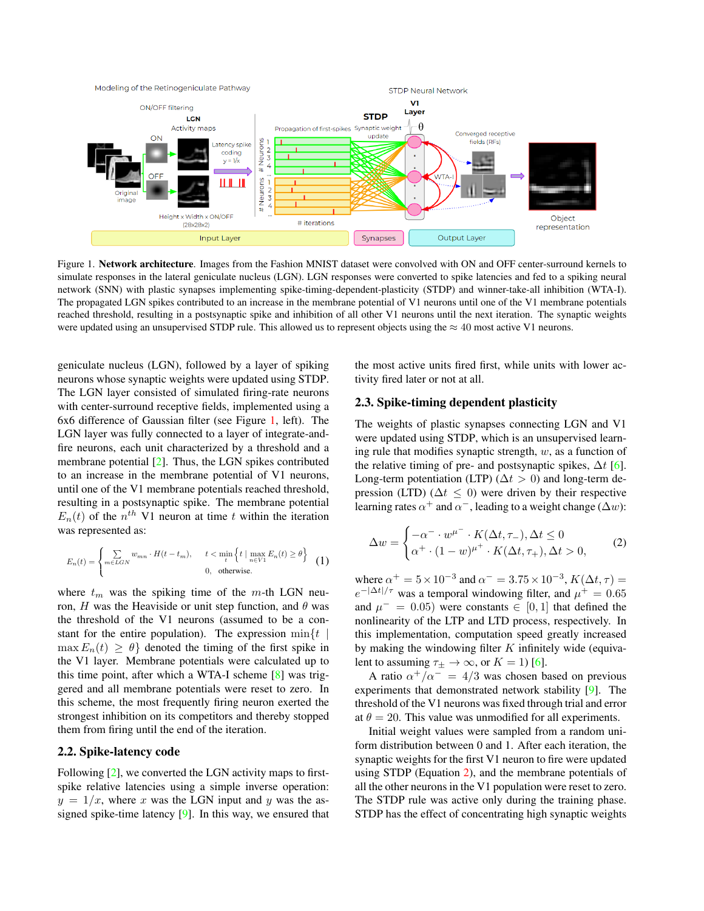<span id="page-1-2"></span><span id="page-1-0"></span>

Figure 1. Network architecture. Images from the Fashion MNIST dataset were convolved with ON and OFF center-surround kernels to simulate responses in the lateral geniculate nucleus (LGN). LGN responses were converted to spike latencies and fed to a spiking neural network (SNN) with plastic synapses implementing spike-timing-dependent-plasticity (STDP) and winner-take-all inhibition (WTA-I). The propagated LGN spikes contributed to an increase in the membrane potential of V1 neurons until one of the V1 membrane potentials reached threshold, resulting in a postsynaptic spike and inhibition of all other V1 neurons until the next iteration. The synaptic weights were updated using an unsupervised STDP rule. This allowed us to represent objects using the  $\approx 40$  most active V1 neurons.

geniculate nucleus (LGN), followed by a layer of spiking neurons whose synaptic weights were updated using STDP. The LGN layer consisted of simulated firing-rate neurons with center-surround receptive fields, implemented using a 6x6 difference of Gaussian filter (see Figure [1,](#page-1-0) left). The LGN layer was fully connected to a layer of integrate-andfire neurons, each unit characterized by a threshold and a membrane potential [\[2\]](#page-3-5). Thus, the LGN spikes contributed to an increase in the membrane potential of V1 neurons, until one of the V1 membrane potentials reached threshold, resulting in a postsynaptic spike. The membrane potential  $E_n(t)$  of the  $n^{th}$  V1 neuron at time t within the iteration was represented as:

$$
E_n(t) = \begin{cases} \sum_{m \in LGN} w_{mn} \cdot H(t - t_m), & t < \min_t \left\{ t \mid \max_{n \in V_1} E_n(t) \ge \theta \right\} \\ 0, & \text{otherwise.} \end{cases} \tag{1}
$$

where  $t_m$  was the spiking time of the m-th LGN neuron, H was the Heaviside or unit step function, and  $\theta$  was the threshold of the V1 neurons (assumed to be a constant for the entire population). The expression  $\min\{t \mid \mathbf{r}\}$  $\max E_n(t) \geq \theta$  denoted the timing of the first spike in the V1 layer. Membrane potentials were calculated up to this time point, after which a WTA-I scheme [\[8\]](#page-3-6) was triggered and all membrane potentials were reset to zero. In this scheme, the most frequently firing neuron exerted the strongest inhibition on its competitors and thereby stopped them from firing until the end of the iteration.

### 2.2. Spike-latency code

Following [\[2\]](#page-3-5), we converted the LGN activity maps to firstspike relative latencies using a simple inverse operation:  $y = 1/x$ , where x was the LGN input and y was the assigned spike-time latency [\[9\]](#page-3-9). In this way, we ensured that the most active units fired first, while units with lower activity fired later or not at all.

#### 2.3. Spike-timing dependent plasticity

The weights of plastic synapses connecting LGN and V1 were updated using STDP, which is an unsupervised learning rule that modifies synaptic strength,  $w$ , as a function of the relative timing of pre- and postsynaptic spikes,  $\Delta t$  [\[6\]](#page-3-8). Long-term potentiation (LTP) ( $\Delta t > 0$ ) and long-term depression (LTD) ( $\Delta t \leq 0$ ) were driven by their respective learning rates  $\alpha^+$  and  $\alpha^-$ , leading to a weight change ( $\Delta w$ ):

<span id="page-1-1"></span>
$$
\Delta w = \begin{cases}\n-\alpha^- \cdot w^{\mu^-} \cdot K(\Delta t, \tau_-), \Delta t \le 0 \\
\alpha^+ \cdot (1 - w)^{\mu^+} \cdot K(\Delta t, \tau_+), \Delta t > 0,\n\end{cases}
$$
\n(2)

where  $\alpha^+ = 5 \times 10^{-3}$  and  $\alpha^- = 3.75 \times 10^{-3}$ ,  $K(\Delta t, \tau) =$  $e^{-|\Delta t|/\tau}$  was a temporal windowing filter, and  $\mu^+ = 0.65$ and  $\mu^- = 0.05$ ) were constants  $\in [0, 1]$  that defined the nonlinearity of the LTP and LTD process, respectively. In this implementation, computation speed greatly increased by making the windowing filter  $K$  infinitely wide (equivalent to assuming  $\tau_{\pm} \to \infty$ , or  $K = 1$ ) [\[6\]](#page-3-8).

A ratio  $\alpha^+/\alpha^- = 4/3$  was chosen based on previous experiments that demonstrated network stability [\[9\]](#page-3-9). The threshold of the V1 neurons was fixed through trial and error at  $\theta = 20$ . This value was unmodified for all experiments.

Initial weight values were sampled from a random uniform distribution between 0 and 1. After each iteration, the synaptic weights for the first V1 neuron to fire were updated using STDP (Equation [2\)](#page-1-1), and the membrane potentials of all the other neurons in the V1 population were reset to zero. The STDP rule was active only during the training phase. STDP has the effect of concentrating high synaptic weights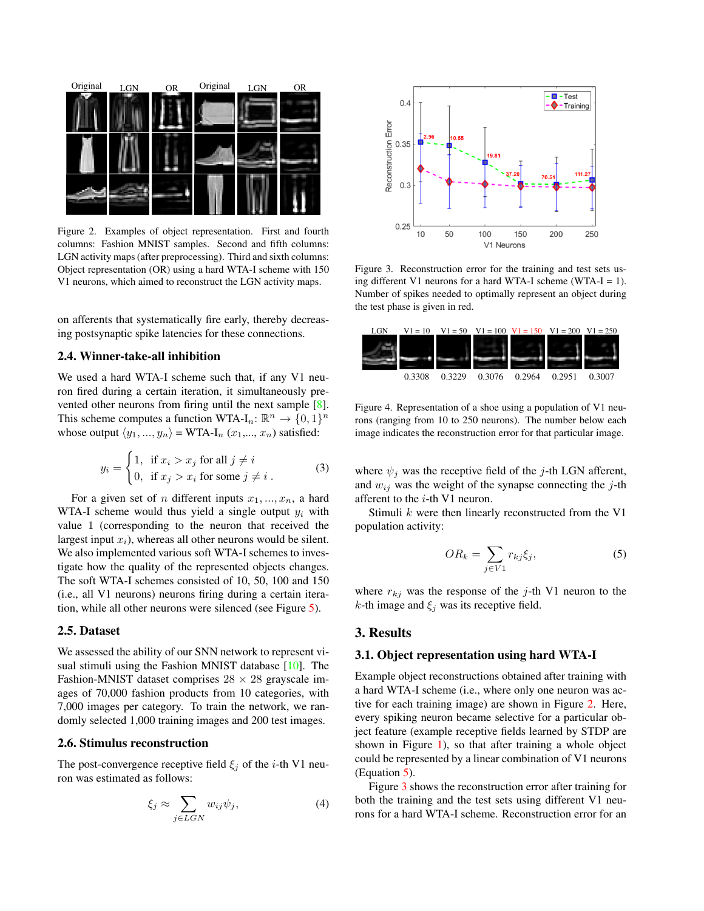<span id="page-2-4"></span><span id="page-2-0"></span>

Figure 2. Examples of object representation. First and fourth columns: Fashion MNIST samples. Second and fifth columns: LGN activity maps (after preprocessing). Third and sixth columns: Object representation (OR) using a hard WTA-I scheme with 150 V1 neurons, which aimed to reconstruct the LGN activity maps.

on afferents that systematically fire early, thereby decreasing postsynaptic spike latencies for these connections.

# 2.4. Winner-take-all inhibition

We used a hard WTA-I scheme such that, if any V1 neuron fired during a certain iteration, it simultaneously prevented other neurons from firing until the next sample [\[8\]](#page-3-6). This scheme computes a function WTA-I<sub>n</sub>:  $\mathbb{R}^n \to \{0,1\}^n$ whose output  $\langle y_1, ..., y_n \rangle$  = WTA-I<sub>n</sub>  $(x_1,..., x_n)$  satisfied:

$$
y_i = \begin{cases} 1, & \text{if } x_i > x_j \text{ for all } j \neq i \\ 0, & \text{if } x_j > x_i \text{ for some } j \neq i \end{cases}
$$
 (3)

For a given set of *n* different inputs  $x_1, ..., x_n$ , a hard WTA-I scheme would thus yield a single output  $y_i$  with value 1 (corresponding to the neuron that received the largest input  $x_i$ ), whereas all other neurons would be silent. We also implemented various soft WTA-I schemes to investigate how the quality of the represented objects changes. The soft WTA-I schemes consisted of 10, 50, 100 and 150 (i.e., all V1 neurons) neurons firing during a certain iteration, while all other neurons were silenced (see Figure [5\)](#page-3-10).

#### 2.5. Dataset

We assessed the ability of our SNN network to represent visual stimuli using the Fashion MNIST database [\[10\]](#page-3-7). The Fashion-MNIST dataset comprises  $28 \times 28$  grayscale images of 70,000 fashion products from 10 categories, with 7,000 images per category. To train the network, we randomly selected 1,000 training images and 200 test images.

#### 2.6. Stimulus reconstruction

The post-convergence receptive field  $\xi_i$  of the *i*-th V1 neuron was estimated as follows:

$$
\xi_j \approx \sum_{j \in LGN} w_{ij} \psi_j,\tag{4}
$$

<span id="page-2-2"></span>

Figure 3. Reconstruction error for the training and test sets using different V1 neurons for a hard WTA-I scheme (WTA-I = 1). Number of spikes needed to optimally represent an object during the test phase is given in red.

<span id="page-2-3"></span>

Figure 4. Representation of a shoe using a population of V1 neurons (ranging from 10 to 250 neurons). The number below each image indicates the reconstruction error for that particular image.

where  $\psi_i$  was the receptive field of the j-th LGN afferent, and  $w_{ij}$  was the weight of the synapse connecting the j-th afferent to the i-th V1 neuron.

Stimuli  $k$  were then linearly reconstructed from the V1 population activity:

<span id="page-2-1"></span>
$$
OR_k = \sum_{j \in V1} r_{kj} \xi_j,\tag{5}
$$

where  $r_{kj}$  was the response of the j-th V1 neuron to the k-th image and  $\xi_j$  was its receptive field.

# 3. Results

## 3.1. Object representation using hard WTA-I

Example object reconstructions obtained after training with a hard WTA-I scheme (i.e., where only one neuron was active for each training image) are shown in Figure [2.](#page-2-0) Here, every spiking neuron became selective for a particular object feature (example receptive fields learned by STDP are shown in Figure [1\)](#page-1-0), so that after training a whole object could be represented by a linear combination of V1 neurons (Equation [5\)](#page-2-1).

Figure [3](#page-2-2) shows the reconstruction error after training for both the training and the test sets using different V1 neurons for a hard WTA-I scheme. Reconstruction error for an